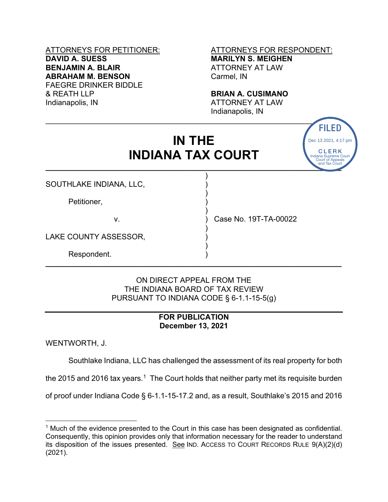## **DAVID A. SUESS MARILYN S. MEIGHEN BENJAMIN A. BLAIR ATTORNEY AT LAW ABRAHAM M. BENSON** Carmel, IN FAEGRE DRINKER BIDDLE<br>& REATH LLP & REATH LLP **BRIAN A. CUSIMANO**<br>
Indianapolis, IN **BRIAN ATTORNEY AT LAW**

# ATTORNEYS FOR PETITIONER: ATTORNEYS FOR RESPONDENT:

CLERK **Indiana Supreme Court** Court of Appeals and Tax Court

Dec 13 2021, 4:17 pm

ATTORNEY AT LAW Indianapolis, IN

# **IN THE INDIANA TAX COURT \_\_\_\_\_\_\_\_\_\_\_\_\_\_\_\_\_\_\_\_\_\_\_\_\_\_\_\_\_\_\_\_\_\_\_\_\_\_\_\_\_\_\_\_\_\_\_\_\_\_\_\_\_\_\_\_\_\_\_\_\_\_\_\_\_\_\_\_\_\_**

)

)

)

)

)

 $\blacksquare$ 

SOUTHLAKE INDIANA, LLC, )

Petitioner,

v. ) Case No. 19T-TA-00022

LAKE COUNTY ASSESSOR,

Respondent. )

#### ON DIRECT APPEAL FROM THE THE INDIANA BOARD OF TAX REVIEW PURSUANT TO INDIANA CODE § 6-1.1-15-5(g)

**\_\_\_\_\_\_\_\_\_\_\_\_\_\_\_\_\_\_\_\_\_\_\_\_\_\_\_\_\_\_\_\_\_\_\_\_\_\_\_\_\_\_\_\_\_\_\_\_\_\_\_\_\_\_\_\_\_\_\_\_\_\_\_\_\_\_\_\_\_\_**

### **FOR PUBLICATION December 13, 2021**

WENTWORTH, J.

Southlake Indiana, LLC has challenged the assessment of its real property for both

the 2015 and 2016 tax years.<sup>1</sup> The Court holds that neither party met its requisite burden

<span id="page-0-0"></span>of proof under Indiana Code § 6-1.1-15-17.2 and, as a result, Southlake's 2015 and 2016

 $1$  Much of the evidence presented to the Court in this case has been designated as confidential. Consequently, this opinion provides only that information necessary for the reader to understand its disposition of the issues presented. See IND. ACCESS TO COURT RECORDS RULE 9(A)(2)(d) IN THE<br>
INDIANA TAX COURT<br>
SOUTHLAKE INDIANA, LLC,<br>
Petitioner.<br>
Petitioner.<br>
Petitioner.<br>
2.<br>
Petitioner.<br>
2.<br>
2. Petitioner.<br>
2.<br>
2. Petitioner.<br>
2. Petitioner.<br>
2. Petitioner.<br>
2. Petitioner.<br>
2. Petitioner.<br>
2. Petitio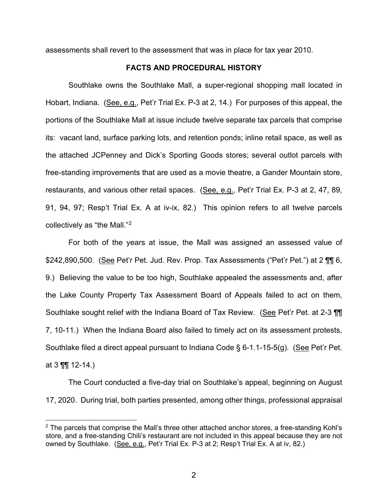assessments shall revert to the assessment that was in place for tax year 2010.

#### **FACTS AND PROCEDURAL HISTORY**

Southlake owns the Southlake Mall, a super-regional shopping mall located in Hobart, Indiana. (See, e.g., Pet'r Trial Ex. P-3 at 2, 14.) For purposes of this appeal, the portions of the Southlake Mall at issue include twelve separate tax parcels that comprise its: vacant land, surface parking lots, and retention ponds; inline retail space, as well as the attached JCPenney and Dick's Sporting Goods stores; several outlot parcels with free-standing improvements that are used as a movie theatre, a Gander Mountain store, restaurants, and various other retail spaces. (See, e.g., Pet'r Trial Ex. P-3 at 2, 47, 89, 91, 94, 97; Resp't Trial Ex. A at iv-ix, 82.) This opinion refers to all twelve parcels collectively as "the Mall."[2](#page-1-0)

For both of the years at issue, the Mall was assigned an assessed value of \$242,890,500. (See Pet'r Pet. Jud. Rev. Prop. Tax Assessments ("Pet'r Pet.") at 2 fill 6, 9.) Believing the value to be too high, Southlake appealed the assessments and, after the Lake County Property Tax Assessment Board of Appeals failed to act on them, Southlake sought relief with the Indiana Board of Tax Review. (See Pet'r Pet. at 2-3  $\P$ 7, 10-11.) When the Indiana Board also failed to timely act on its assessment protests, Southlake filed a direct appeal pursuant to Indiana Code § 6-1.1-15-5(g). (See Pet'r Pet. at 3 ¶¶ 12-14.)

The Court conducted a five-day trial on Southlake's appeal, beginning on August 17, 2020. During trial, both parties presented, among other things, professional appraisal

<span id="page-1-0"></span> $2$  The parcels that comprise the Mall's three other attached anchor stores, a free-standing Kohl's store, and a free-standing Chili's restaurant are not included in this appeal because they are not owned by Southlake. (See, e.g., Pet'r Trial Ex. P-3 at 2; Resp't Trial Ex. A at iv, 82.)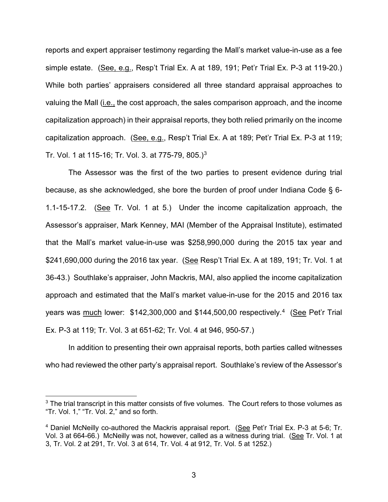reports and expert appraiser testimony regarding the Mall's market value-in-use as a fee simple estate. (See, e.g., Resp't Trial Ex. A at 189, 191; Pet'r Trial Ex. P-3 at 119-20.) While both parties' appraisers considered all three standard appraisal approaches to valuing the Mall (i.e., the cost approach, the sales comparison approach, and the income capitalization approach) in their appraisal reports, they both relied primarily on the income capitalization approach. (See, e.g., Resp't Trial Ex. A at 189; Pet'r Trial Ex. P-3 at 119; Tr. Vol. 1 at 115-16; Tr. Vol. [3](#page-2-0). at 775-79, 805.)<sup>3</sup>

The Assessor was the first of the two parties to present evidence during trial because, as she acknowledged, she bore the burden of proof under Indiana Code § 6- 1.1-15-17.2. (See Tr. Vol. 1 at 5.) Under the income capitalization approach, the Assessor's appraiser, Mark Kenney, MAI (Member of the Appraisal Institute), estimated that the Mall's market value-in-use was \$258,990,000 during the 2015 tax year and \$241,690,000 during the 2016 tax year. (See Resp't Trial Ex. A at 189, 191; Tr. Vol. 1 at 36-43.) Southlake's appraiser, John Mackris, MAI, also applied the income capitalization approach and estimated that the Mall's market value-in-use for the 2015 and 2016 tax years was <u>much</u> lower: \$142,300,000 and \$144,500,00 respectively.<sup>4</sup> (<u>See</u> Pet'r Trial Ex. P-3 at 119; Tr. Vol. 3 at 651-62; Tr. Vol. 4 at 946, 950-57.)

In addition to presenting their own appraisal reports, both parties called witnesses who had reviewed the other party's appraisal report. Southlake's review of the Assessor's

<span id="page-2-0"></span><sup>&</sup>lt;sup>3</sup> The trial transcript in this matter consists of five volumes. The Court refers to those volumes as "Tr. Vol. 1," "Tr. Vol. 2," and so forth.

<span id="page-2-1"></span><sup>4</sup> Daniel McNeilly co-authored the Mackris appraisal report. (See Pet'r Trial Ex. P-3 at 5-6; Tr. Vol. 3 at 664-66.) McNeilly was not, however, called as a witness during trial. (See Tr. Vol. 1 at 3, Tr. Vol. 2 at 291, Tr. Vol. 3 at 614, Tr. Vol. 4 at 912, Tr. Vol. 5 at 1252.)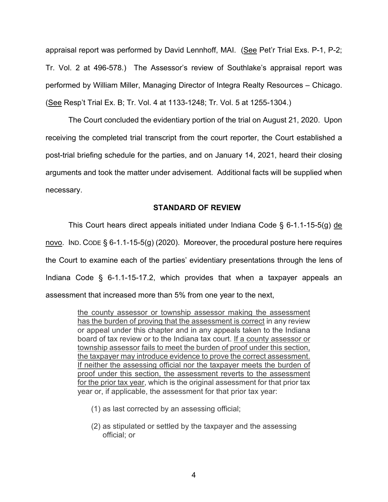appraisal report was performed by David Lennhoff, MAI. (See Pet'r Trial Exs. P-1, P-2; Tr. Vol. 2 at 496-578.) The Assessor's review of Southlake's appraisal report was performed by William Miller, Managing Director of Integra Realty Resources – Chicago. (See Resp't Trial Ex. B; Tr. Vol. 4 at 1133-1248; Tr. Vol. 5 at 1255-1304.)

The Court concluded the evidentiary portion of the trial on August 21, 2020. Upon receiving the completed trial transcript from the court reporter, the Court established a post-trial briefing schedule for the parties, and on January 14, 2021, heard their closing arguments and took the matter under advisement. Additional facts will be supplied when necessary.

#### **STANDARD OF REVIEW**

This Court hears direct appeals initiated under Indiana Code § 6-1.1-15-5(g) de novo. IND. CODE  $\S 6$ -1.1-15-5(g) (2020). Moreover, the procedural posture here requires the Court to examine each of the parties' evidentiary presentations through the lens of Indiana Code § 6-1.1-15-17.2, which provides that when a taxpayer appeals an assessment that increased more than 5% from one year to the next,

> the county assessor or township assessor making the assessment has the burden of proving that the assessment is correct in any review or appeal under this chapter and in any appeals taken to the Indiana board of tax review or to the Indiana tax court. If a county assessor or township assessor fails to meet the burden of proof under this section, the taxpayer may introduce evidence to prove the correct assessment. If neither the assessing official nor the taxpayer meets the burden of proof under this section, the assessment reverts to the assessment for the prior tax year, which is the original assessment for that prior tax year or, if applicable, the assessment for that prior tax year:

- (1) as last corrected by an assessing official;
- (2) as stipulated or settled by the taxpayer and the assessing official; or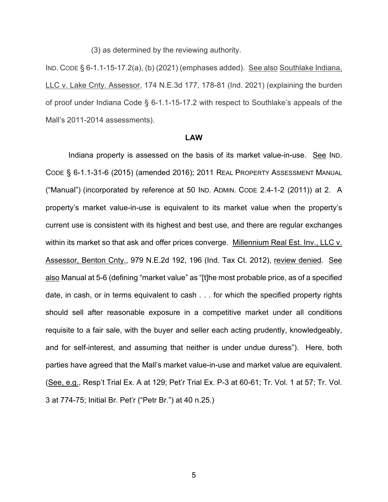(3) as determined by the reviewing authority.

IND. CODE § 6-1.1-15-17.2(a), (b) (2021) (emphases added). See also Southlake Indiana, LLC v. Lake Cnty. Assessor, 174 N.E.3d 177, 178-81 (Ind. 2021) (explaining the burden of proof under Indiana Code § 6-1.1-15-17.2 with respect to Southlake's appeals of the Mall's 2011-2014 assessments).

#### **LAW**

Indiana property is assessed on the basis of its market value-in-use. See IND. CODE § 6-1.1-31-6 (2015) (amended 2016); 2011 REAL PROPERTY ASSESSMENT MANUAL ("Manual") (incorporated by reference at 50 IND. ADMIN. CODE 2.4-1-2 (2011)) at 2. A property's market value-in-use is equivalent to its market value when the property's current use is consistent with its highest and best use, and there are regular exchanges within its market so that ask and offer prices converge. Millennium Real Est. Inv., LLC v. Assessor, Benton Cnty., 979 N.E.2d 192, 196 (Ind. Tax Ct. 2012), review denied. See also Manual at 5-6 (defining "market value" as "[t]he most probable price, as of a specified date, in cash, or in terms equivalent to cash . . . for which the specified property rights should sell after reasonable exposure in a competitive market under all conditions requisite to a fair sale, with the buyer and seller each acting prudently, knowledgeably, and for self-interest, and assuming that neither is under undue duress"). Here, both parties have agreed that the Mall's market value-in-use and market value are equivalent. (See, e.g., Resp't Trial Ex. A at 129; Pet'r Trial Ex. P-3 at 60-61; Tr. Vol. 1 at 57; Tr. Vol. 3 at 774-75; Initial Br. Pet'r ("Petr Br.") at 40 n.25.)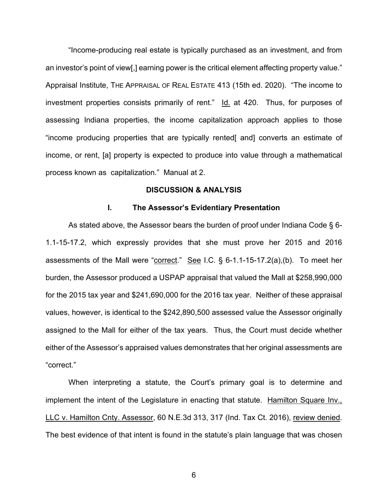"Income-producing real estate is typically purchased as an investment, and from an investor's point of view[,] earning power is the critical element affecting property value." Appraisal Institute, THE APPRAISAL OF REAL ESTATE 413 (15th ed. 2020). "The income to investment properties consists primarily of rent." Id. at 420. Thus, for purposes of assessing Indiana properties, the income capitalization approach applies to those "income producing properties that are typically rented[ and] converts an estimate of income, or rent, [a] property is expected to produce into value through a mathematical process known as capitalization." Manual at 2.

#### **DISCUSSION & ANALYSIS**

#### **I. The Assessor's Evidentiary Presentation**

As stated above, the Assessor bears the burden of proof under Indiana Code § 6- 1.1-15-17.2, which expressly provides that she must prove her 2015 and 2016 assessments of the Mall were "correct." See I.C.  $\S$  6-1.1-15-17.2(a),(b). To meet her burden, the Assessor produced a USPAP appraisal that valued the Mall at \$258,990,000 for the 2015 tax year and \$241,690,000 for the 2016 tax year. Neither of these appraisal values, however, is identical to the \$242,890,500 assessed value the Assessor originally assigned to the Mall for either of the tax years. Thus, the Court must decide whether either of the Assessor's appraised values demonstrates that her original assessments are "correct."

When interpreting a statute, the Court's primary goal is to determine and implement the intent of the Legislature in enacting that statute. Hamilton Square Inv., LLC v. Hamilton Cnty. Assessor, 60 N.E.3d 313, 317 (Ind. Tax Ct. 2016), review denied. The best evidence of that intent is found in the statute's plain language that was chosen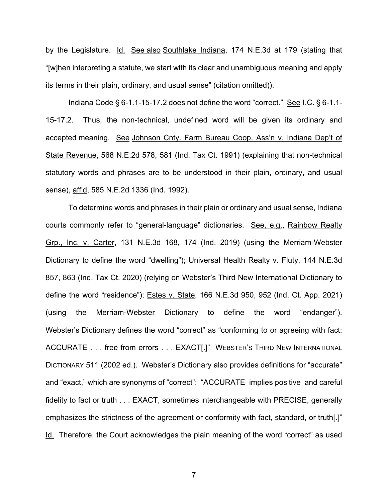by the Legislature. Id. See also Southlake Indiana, 174 N.E.3d at 179 (stating that "[w]hen interpreting a statute, we start with its clear and unambiguous meaning and apply its terms in their plain, ordinary, and usual sense" (citation omitted)).

Indiana Code § 6-1.1-15-17.2 does not define the word "correct." See I.C. § 6-1.1- 15-17.2. Thus, the non-technical, undefined word will be given its ordinary and accepted meaning. See Johnson Cnty. Farm Bureau Coop. Ass'n v. Indiana Dep't of State Revenue, 568 N.E.2d 578, 581 (Ind. Tax Ct. 1991) (explaining that non-technical statutory words and phrases are to be understood in their plain, ordinary, and usual sense), aff'd, 585 N.E.2d 1336 (Ind. 1992).

To determine words and phrases in their plain or ordinary and usual sense, Indiana courts commonly refer to "general-language" dictionaries. See, e.g., Rainbow Realty Grp., Inc. v. Carter, 131 N.E.3d 168, 174 (Ind. 2019) (using the Merriam-Webster Dictionary to define the word "dwelling"); Universal Health Realty v. Fluty, 144 N.E.3d 857, 863 (Ind. Tax Ct. 2020) (relying on Webster's Third New International Dictionary to define the word "residence"); Estes v. State, 166 N.E.3d 950, 952 (Ind. Ct. App. 2021) (using the Merriam-Webster Dictionary to define the word "endanger"). Webster's Dictionary defines the word "correct" as "conforming to or agreeing with fact: ACCURATE . . . free from errors . . . EXACT[.]" WEBSTER'S THIRD NEW INTERNATIONAL DICTIONARY 511 (2002 ed.). Webster's Dictionary also provides definitions for "accurate" and "exact," which are synonyms of "correct": "ACCURATE implies positive and careful fidelity to fact or truth . . . EXACT, sometimes interchangeable with PRECISE, generally emphasizes the strictness of the agreement or conformity with fact, standard, or truth[.]" Id. Therefore, the Court acknowledges the plain meaning of the word "correct" as used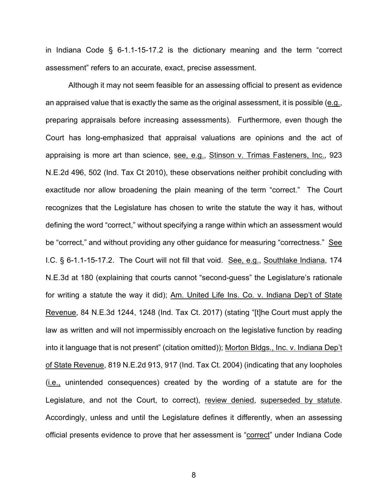in Indiana Code § 6-1.1-15-17.2 is the dictionary meaning and the term "correct assessment" refers to an accurate, exact, precise assessment.

Although it may not seem feasible for an assessing official to present as evidence an appraised value that is exactly the same as the original assessment, it is possible (e.g., preparing appraisals before increasing assessments). Furthermore, even though the Court has long-emphasized that appraisal valuations are opinions and the act of appraising is more art than science, see, e.g., Stinson v. Trimas Fasteners, Inc., 923 N.E.2d 496, 502 (Ind. Tax Ct 2010), these observations neither prohibit concluding with exactitude nor allow broadening the plain meaning of the term "correct." The Court recognizes that the Legislature has chosen to write the statute the way it has, without defining the word "correct," without specifying a range within which an assessment would be "correct," and without providing any other guidance for measuring "correctness." See I.C. § 6-1.1-15-17.2. The Court will not fill that void. See, e.g., Southlake Indiana, 174 N.E.3d at 180 (explaining that courts cannot "second-guess" the Legislature's rationale for writing a statute the way it did); Am. United Life Ins. Co. v. Indiana Dep't of State Revenue, 84 N.E.3d 1244, 1248 (Ind. Tax Ct. 2017) (stating "[t]he Court must apply the law as written and will not impermissibly encroach on the legislative function by reading into it language that is not present" (citation omitted)); Morton Bldgs., Inc. v. Indiana Dep't of State Revenue, 819 N.E.2d 913, 917 (Ind. Tax Ct. 2004) (indicating that any loopholes (i.e., unintended consequences) created by the wording of a statute are for the Legislature, and not the Court, to correct), review denied, superseded by statute. Accordingly, unless and until the Legislature defines it differently, when an assessing official presents evidence to prove that her assessment is "correct" under Indiana Code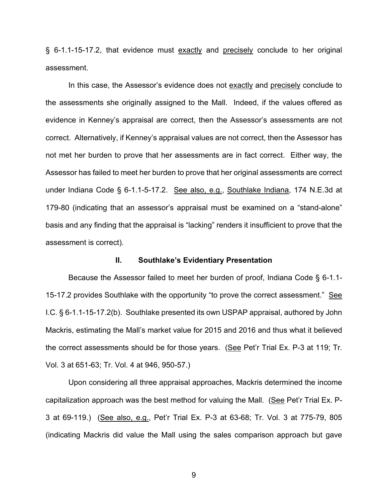§ 6-1.1-15-17.2, that evidence must exactly and precisely conclude to her original assessment.

In this case, the Assessor's evidence does not exactly and precisely conclude to the assessments she originally assigned to the Mall. Indeed, if the values offered as evidence in Kenney's appraisal are correct, then the Assessor's assessments are not correct. Alternatively, if Kenney's appraisal values are not correct, then the Assessor has not met her burden to prove that her assessments are in fact correct. Either way, the Assessor has failed to meet her burden to prove that her original assessments are correct under Indiana Code § 6-1.1-5-17.2. See also, e.g., Southlake Indiana, 174 N.E.3d at 179-80 (indicating that an assessor's appraisal must be examined on a "stand-alone" basis and any finding that the appraisal is "lacking" renders it insufficient to prove that the assessment is correct).

#### **II. Southlake's Evidentiary Presentation**

Because the Assessor failed to meet her burden of proof, Indiana Code § 6-1.1- 15-17.2 provides Southlake with the opportunity "to prove the correct assessment." See I.C. § 6-1.1-15-17.2(b). Southlake presented its own USPAP appraisal, authored by John Mackris, estimating the Mall's market value for 2015 and 2016 and thus what it believed the correct assessments should be for those years. (See Pet'r Trial Ex. P-3 at 119; Tr. Vol. 3 at 651-63; Tr. Vol. 4 at 946, 950-57.)

Upon considering all three appraisal approaches, Mackris determined the income capitalization approach was the best method for valuing the Mall. (See Pet'r Trial Ex. P-3 at 69-119.) (See also, e.g., Pet'r Trial Ex. P-3 at 63-68; Tr. Vol. 3 at 775-79, 805 (indicating Mackris did value the Mall using the sales comparison approach but gave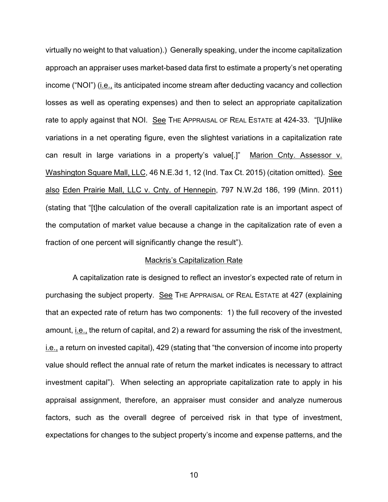virtually no weight to that valuation).) Generally speaking, under the income capitalization approach an appraiser uses market-based data first to estimate a property's net operating income ("NOI") (i.e., its anticipated income stream after deducting vacancy and collection losses as well as operating expenses) and then to select an appropriate capitalization rate to apply against that NOI. See THE APPRAISAL OF REAL ESTATE at 424-33. "[U]nlike variations in a net operating figure, even the slightest variations in a capitalization rate can result in large variations in a property's value[.]" Marion Cnty. Assessor v. Washington Square Mall, LLC, 46 N.E.3d 1, 12 (Ind. Tax Ct. 2015) (citation omitted). See also Eden Prairie Mall, LLC v. Cnty. of Hennepin, 797 N.W.2d 186, 199 (Minn. 2011) (stating that "[t]he calculation of the overall capitalization rate is an important aspect of the computation of market value because a change in the capitalization rate of even a fraction of one percent will significantly change the result").

#### Mackris's Capitalization Rate

 A capitalization rate is designed to reflect an investor's expected rate of return in purchasing the subject property. See THE APPRAISAL OF REAL ESTATE at 427 (explaining that an expected rate of return has two components: 1) the full recovery of the invested amount, *i.e.*, the return of capital, and 2) a reward for assuming the risk of the investment, i.e., a return on invested capital), 429 (stating that "the conversion of income into property value should reflect the annual rate of return the market indicates is necessary to attract investment capital"). When selecting an appropriate capitalization rate to apply in his appraisal assignment, therefore, an appraiser must consider and analyze numerous factors, such as the overall degree of perceived risk in that type of investment, expectations for changes to the subject property's income and expense patterns, and the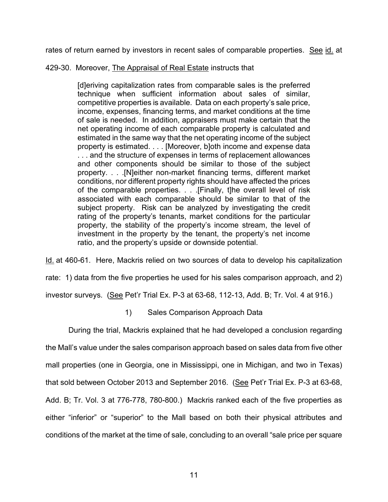rates of return earned by investors in recent sales of comparable properties. See id. at

#### 429-30. Moreover, The Appraisal of Real Estate instructs that

[d]eriving capitalization rates from comparable sales is the preferred technique when sufficient information about sales of similar, competitive properties is available. Data on each property's sale price, income, expenses, financing terms, and market conditions at the time of sale is needed. In addition, appraisers must make certain that the net operating income of each comparable property is calculated and estimated in the same way that the net operating income of the subject property is estimated. . . . [Moreover, b]oth income and expense data . . . and the structure of expenses in terms of replacement allowances and other components should be similar to those of the subject property. . . .[N]either non-market financing terms, different market conditions, nor different property rights should have affected the prices of the comparable properties. . . .[Finally, t]he overall level of risk associated with each comparable should be similar to that of the subject property. Risk can be analyzed by investigating the credit rating of the property's tenants, market conditions for the particular property, the stability of the property's income stream, the level of investment in the property by the tenant, the property's net income ratio, and the property's upside or downside potential.

Id. at 460-61. Here, Mackris relied on two sources of data to develop his capitalization rate: 1) data from the five properties he used for his sales comparison approach, and 2) investor surveys. (See Pet'r Trial Ex. P-3 at 63-68, 112-13, Add. B; Tr. Vol. 4 at 916.)

#### 1) Sales Comparison Approach Data

During the trial, Mackris explained that he had developed a conclusion regarding the Mall's value under the sales comparison approach based on sales data from five other mall properties (one in Georgia, one in Mississippi, one in Michigan, and two in Texas) that sold between October 2013 and September 2016. (See Pet'r Trial Ex. P-3 at 63-68, Add. B; Tr. Vol. 3 at 776-778, 780-800.) Mackris ranked each of the five properties as either "inferior" or "superior" to the Mall based on both their physical attributes and conditions of the market at the time of sale, concluding to an overall "sale price per square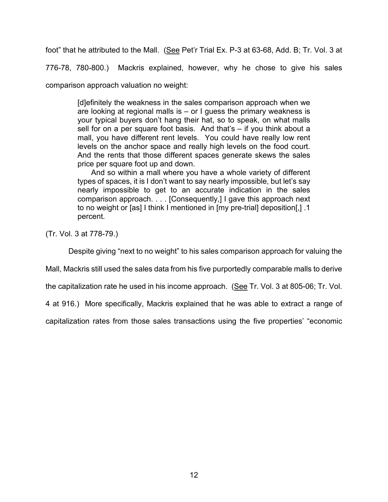foot" that he attributed to the Mall. (See Pet'r Trial Ex. P-3 at 63-68, Add. B; Tr. Vol. 3 at

776-78, 780-800.) Mackris explained, however, why he chose to give his sales

comparison approach valuation no weight:

[d]efinitely the weakness in the sales comparison approach when we are looking at regional malls is – or I guess the primary weakness is your typical buyers don't hang their hat, so to speak, on what malls sell for on a per square foot basis. And that's – if you think about a mall, you have different rent levels. You could have really low rent levels on the anchor space and really high levels on the food court. And the rents that those different spaces generate skews the sales price per square foot up and down.

And so within a mall where you have a whole variety of different types of spaces, it is I don't want to say nearly impossible, but let's say nearly impossible to get to an accurate indication in the sales comparison approach. . . . [Consequently,] I gave this approach next to no weight or [as] I think I mentioned in [my pre-trial] deposition[,] .1 percent.

(Tr. Vol. 3 at 778-79.)

Despite giving "next to no weight" to his sales comparison approach for valuing the

Mall, Mackris still used the sales data from his five purportedly comparable malls to derive

the capitalization rate he used in his income approach. (See Tr. Vol. 3 at 805-06; Tr. Vol.

4 at 916.) More specifically, Mackris explained that he was able to extract a range of

capitalization rates from those sales transactions using the five properties' "economic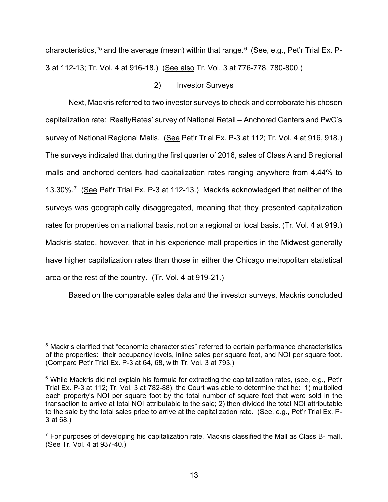characteristics,"<sup>5</sup> and the average (mean) within that range.<sup>6</sup> (<u>See, e.g.</u>, Pet'r Trial Ex. P-3 at 112-13; Tr. Vol. 4 at 916-18.) (See also Tr. Vol. 3 at 776-778, 780-800.)

#### 2) Investor Surveys

Next, Mackris referred to two investor surveys to check and corroborate his chosen capitalization rate: RealtyRates' survey of National Retail – Anchored Centers and PwC's survey of National Regional Malls. (See Pet'r Trial Ex. P-3 at 112; Tr. Vol. 4 at 916, 918.) The surveys indicated that during the first quarter of 2016, sales of Class A and B regional malls and anchored centers had capitalization rates ranging anywhere from 4.44% to 13.30%.<sup>7</sup> (See Pet'r Trial Ex. P-3 at 112-13.) Mackris acknowledged that neither of the surveys was geographically disaggregated, meaning that they presented capitalization rates for properties on a national basis, not on a regional or local basis. (Tr. Vol. 4 at 919.) Mackris stated, however, that in his experience mall properties in the Midwest generally have higher capitalization rates than those in either the Chicago metropolitan statistical area or the rest of the country. (Tr. Vol. 4 at 919-21.)

Based on the comparable sales data and the investor surveys, Mackris concluded

<span id="page-12-0"></span><sup>5</sup> Mackris clarified that "economic characteristics" referred to certain performance characteristics of the properties: their occupancy levels, inline sales per square foot, and NOI per square foot. (Compare Pet'r Trial Ex. P-3 at 64, 68, with Tr. Vol. 3 at 793.)

<span id="page-12-1"></span><sup>&</sup>lt;sup>6</sup> While Mackris did not explain his formula for extracting the capitalization rates, (see, e.g., Pet'r Trial Ex. P-3 at 112; Tr. Vol. 3 at 782-88), the Court was able to determine that he: 1) multiplied each property's NOI per square foot by the total number of square feet that were sold in the transaction to arrive at total NOI attributable to the sale; 2) then divided the total NOI attributable to the sale by the total sales price to arrive at the capitalization rate. (See, e.g., Pet'r Trial Ex. P-3 at 68.)

<span id="page-12-2"></span> $7$  For purposes of developing his capitalization rate, Mackris classified the Mall as Class B- mall. (See Tr. Vol. 4 at 937-40.)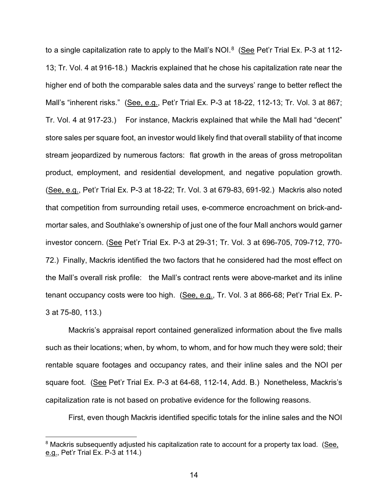to a single capitalization rate to apply to the Mall's NOI. $8$  (See Pet'r Trial Ex. P-3 at 112-13; Tr. Vol. 4 at 916-18.) Mackris explained that he chose his capitalization rate near the higher end of both the comparable sales data and the surveys' range to better reflect the Mall's "inherent risks." (See, e.g., Pet'r Trial Ex. P-3 at 18-22, 112-13; Tr. Vol. 3 at 867; Tr. Vol. 4 at 917-23.) For instance, Mackris explained that while the Mall had "decent" store sales per square foot, an investor would likely find that overall stability of that income stream jeopardized by numerous factors: flat growth in the areas of gross metropolitan product, employment, and residential development, and negative population growth. (See, e.g., Pet'r Trial Ex. P-3 at 18-22; Tr. Vol. 3 at 679-83, 691-92.) Mackris also noted that competition from surrounding retail uses, e-commerce encroachment on brick-andmortar sales, and Southlake's ownership of just one of the four Mall anchors would garner investor concern. (See Pet'r Trial Ex. P-3 at 29-31; Tr. Vol. 3 at 696-705, 709-712, 770- 72.) Finally, Mackris identified the two factors that he considered had the most effect on the Mall's overall risk profile: the Mall's contract rents were above-market and its inline tenant occupancy costs were too high. (See, e.g., Tr. Vol. 3 at 866-68; Pet'r Trial Ex. P-3 at 75-80, 113.)

Mackris's appraisal report contained generalized information about the five malls such as their locations; when, by whom, to whom, and for how much they were sold; their rentable square footages and occupancy rates, and their inline sales and the NOI per square foot. (See Pet'r Trial Ex. P-3 at 64-68, 112-14, Add. B.) Nonetheless, Mackris's capitalization rate is not based on probative evidence for the following reasons.

First, even though Mackris identified specific totals for the inline sales and the NOI

<span id="page-13-0"></span><sup>&</sup>lt;sup>8</sup> Mackris subsequently adjusted his capitalization rate to account for a property tax load. (See, e.g., Pet'r Trial Ex. P-3 at 114.)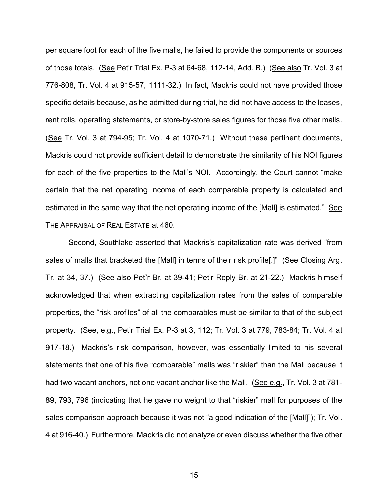per square foot for each of the five malls, he failed to provide the components or sources of those totals. (See Pet'r Trial Ex. P-3 at 64-68, 112-14, Add. B.) (See also Tr. Vol. 3 at 776-808, Tr. Vol. 4 at 915-57, 1111-32.) In fact, Mackris could not have provided those specific details because, as he admitted during trial, he did not have access to the leases, rent rolls, operating statements, or store-by-store sales figures for those five other malls. (See Tr. Vol. 3 at 794-95; Tr. Vol. 4 at 1070-71.) Without these pertinent documents, Mackris could not provide sufficient detail to demonstrate the similarity of his NOI figures for each of the five properties to the Mall's NOI. Accordingly, the Court cannot "make certain that the net operating income of each comparable property is calculated and estimated in the same way that the net operating income of the [Mall] is estimated." See THE APPRAISAL OF REAL ESTATE at 460.

Second, Southlake asserted that Mackris's capitalization rate was derived "from sales of malls that bracketed the [Mall] in terms of their risk profile[.]" (See Closing Arg. Tr. at 34, 37.) (See also Pet'r Br. at 39-41; Pet'r Reply Br. at 21-22.) Mackris himself acknowledged that when extracting capitalization rates from the sales of comparable properties, the "risk profiles" of all the comparables must be similar to that of the subject property. (See, e.g., Pet'r Trial Ex. P-3 at 3, 112; Tr. Vol. 3 at 779, 783-84; Tr. Vol. 4 at 917-18.) Mackris's risk comparison, however, was essentially limited to his several statements that one of his five "comparable" malls was "riskier" than the Mall because it had two vacant anchors, not one vacant anchor like the Mall. (See e.g., Tr. Vol. 3 at 781- 89, 793, 796 (indicating that he gave no weight to that "riskier" mall for purposes of the sales comparison approach because it was not "a good indication of the [Mall]"); Tr. Vol. 4 at 916-40.) Furthermore, Mackris did not analyze or even discuss whether the five other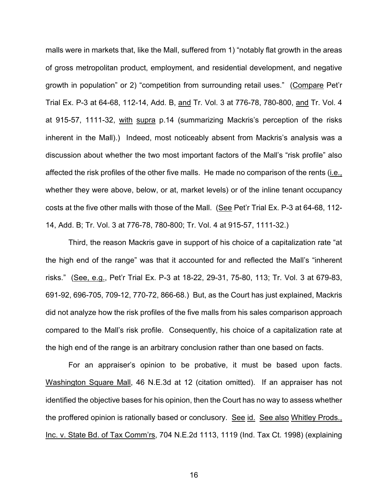malls were in markets that, like the Mall, suffered from 1) "notably flat growth in the areas of gross metropolitan product, employment, and residential development, and negative growth in population" or 2) "competition from surrounding retail uses." (Compare Pet'r Trial Ex. P-3 at 64-68, 112-14, Add. B, and Tr. Vol. 3 at 776-78, 780-800, and Tr. Vol. 4 at 915-57, 1111-32, with supra p.14 (summarizing Mackris's perception of the risks inherent in the Mall).) Indeed, most noticeably absent from Mackris's analysis was a discussion about whether the two most important factors of the Mall's "risk profile" also affected the risk profiles of the other five malls. He made no comparison of the rents (i.e., whether they were above, below, or at, market levels) or of the inline tenant occupancy costs at the five other malls with those of the Mall. (See Pet'r Trial Ex. P-3 at 64-68, 112- 14, Add. B; Tr. Vol. 3 at 776-78, 780-800; Tr. Vol. 4 at 915-57, 1111-32.)

Third, the reason Mackris gave in support of his choice of a capitalization rate "at the high end of the range" was that it accounted for and reflected the Mall's "inherent risks." (See, e.g., Pet'r Trial Ex. P-3 at 18-22, 29-31, 75-80, 113; Tr. Vol. 3 at 679-83, 691-92, 696-705, 709-12, 770-72, 866-68.) But, as the Court has just explained, Mackris did not analyze how the risk profiles of the five malls from his sales comparison approach compared to the Mall's risk profile. Consequently, his choice of a capitalization rate at the high end of the range is an arbitrary conclusion rather than one based on facts.

For an appraiser's opinion to be probative, it must be based upon facts. Washington Square Mall, 46 N.E.3d at 12 (citation omitted). If an appraiser has not identified the objective bases for his opinion, then the Court has no way to assess whether the proffered opinion is rationally based or conclusory. See id. See also Whitley Prods., Inc. v. State Bd. of Tax Comm'rs, 704 N.E.2d 1113, 1119 (Ind. Tax Ct. 1998) (explaining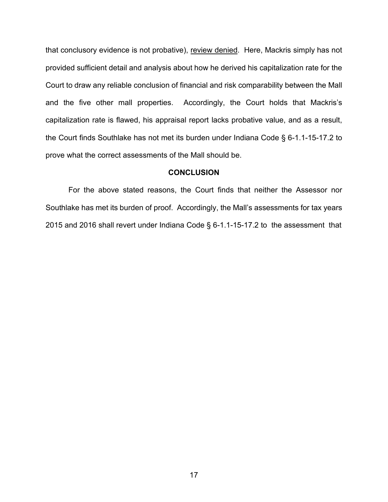that conclusory evidence is not probative), review denied. Here, Mackris simply has not provided sufficient detail and analysis about how he derived his capitalization rate for the Court to draw any reliable conclusion of financial and risk comparability between the Mall and the five other mall properties. Accordingly, the Court holds that Mackris's capitalization rate is flawed, his appraisal report lacks probative value, and as a result, the Court finds Southlake has not met its burden under Indiana Code § 6-1.1-15-17.2 to prove what the correct assessments of the Mall should be.

#### **CONCLUSION**

For the above stated reasons, the Court finds that neither the Assessor nor Southlake has met its burden of proof. Accordingly, the Mall's assessments for tax years 2015 and 2016 shall revert under Indiana Code § 6-1.1-15-17.2 to the assessment that